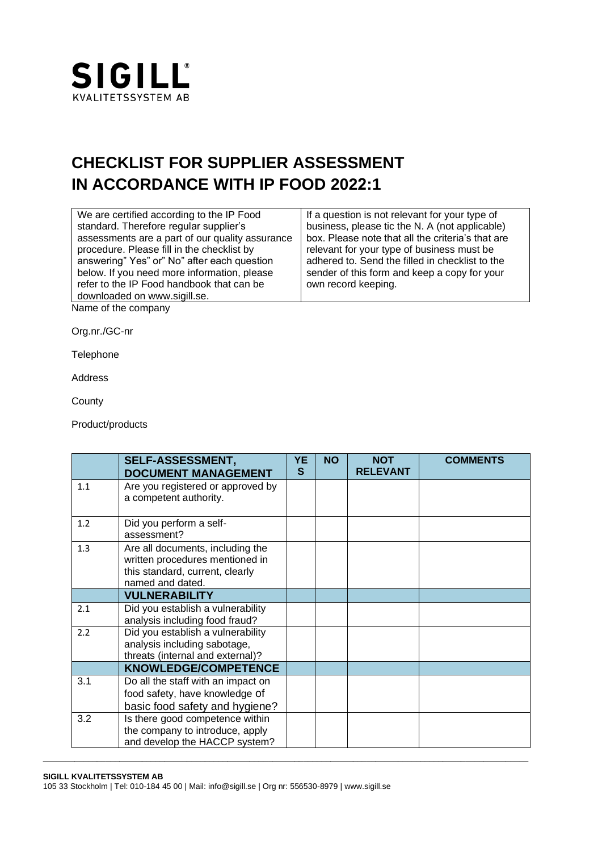

## **CHECKLIST FOR SUPPLIER ASSESSMENT IN ACCORDANCE WITH IP FOOD 2022:1**

| We are certified according to the IP Food       | If a question is not relevant for your type of    |  |  |  |  |
|-------------------------------------------------|---------------------------------------------------|--|--|--|--|
| standard. Therefore regular supplier's          | business, please tic the N. A (not applicable)    |  |  |  |  |
| assessments are a part of our quality assurance | box. Please note that all the criteria's that are |  |  |  |  |
| procedure. Please fill in the checklist by      | relevant for your type of business must be        |  |  |  |  |
| answering" Yes" or" No" after each question     | adhered to. Send the filled in checklist to the   |  |  |  |  |
| below. If you need more information, please     | sender of this form and keep a copy for your      |  |  |  |  |
| refer to the IP Food handbook that can be       | own record keeping.                               |  |  |  |  |
| downloaded on www.sigill.se.                    |                                                   |  |  |  |  |
| Name of the company                             |                                                   |  |  |  |  |
|                                                 |                                                   |  |  |  |  |

Org.nr./GC-nr

**Telephone** 

Address

**County** 

Product/products

|     | <b>SELF-ASSESSMENT,</b><br><b>DOCUMENT MANAGEMENT</b>                                                                      | <b>YE</b><br>S | <b>NO</b> | <b>NOT</b><br><b>RELEVANT</b> | <b>COMMENTS</b> |
|-----|----------------------------------------------------------------------------------------------------------------------------|----------------|-----------|-------------------------------|-----------------|
| 1.1 | Are you registered or approved by<br>a competent authority.                                                                |                |           |                               |                 |
| 1.2 | Did you perform a self-<br>assessment?                                                                                     |                |           |                               |                 |
| 1.3 | Are all documents, including the<br>written procedures mentioned in<br>this standard, current, clearly<br>named and dated. |                |           |                               |                 |
|     | <b>VULNERABILITY</b>                                                                                                       |                |           |                               |                 |
| 2.1 | Did you establish a vulnerability<br>analysis including food fraud?                                                        |                |           |                               |                 |
| 2.2 | Did you establish a vulnerability<br>analysis including sabotage,<br>threats (internal and external)?                      |                |           |                               |                 |
|     | KNOWLEDGE/COMPETENCE                                                                                                       |                |           |                               |                 |
| 3.1 | Do all the staff with an impact on<br>food safety, have knowledge of<br>basic food safety and hygiene?                     |                |           |                               |                 |
| 3.2 | Is there good competence within<br>the company to introduce, apply<br>and develop the HACCP system?                        |                |           |                               |                 |

**\_\_\_\_\_\_\_\_\_\_\_\_\_\_\_\_\_\_\_\_\_\_\_\_\_\_\_\_\_\_\_\_\_\_\_\_\_\_\_\_\_\_\_\_\_\_\_\_\_\_\_\_\_\_\_\_\_\_\_\_\_\_\_\_\_\_\_\_\_\_\_\_\_\_\_\_\_\_\_\_\_\_\_\_\_\_\_\_\_\_\_\_\_\_\_\_\_\_\_\_\_\_\_\_\_\_\_\_**

## **SIGILL KVALITETSSYSTEM AB**

105 33 Stockholm | Tel: 010-184 45 00 | Mail: [info@sigill.se](mailto:info@sigill.se) | Org nr: 556530-8979 [| www.sigill.se](http://www.sigill.se/)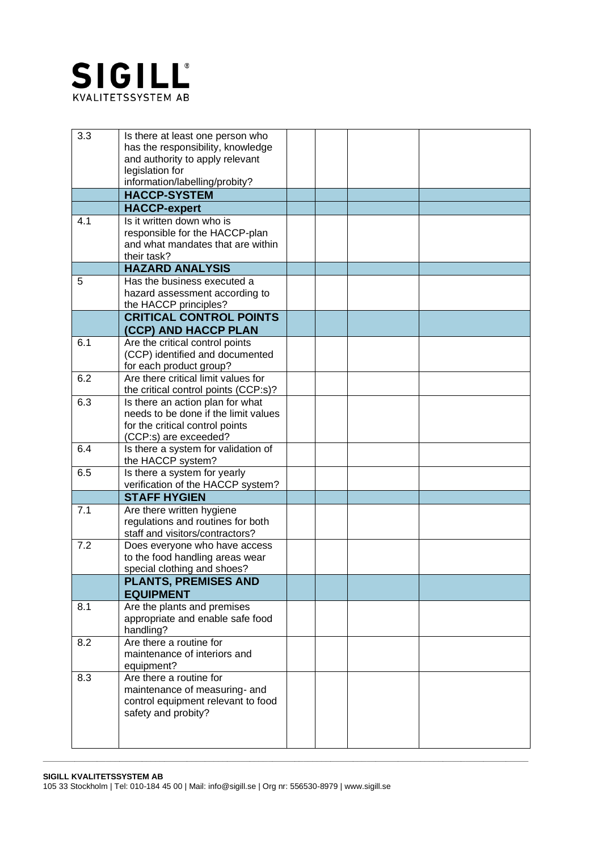

| 3.3 | Is there at least one person who<br>has the responsibility, knowledge<br>and authority to apply relevant<br>legislation for<br>information/labelling/probity? |  |  |
|-----|---------------------------------------------------------------------------------------------------------------------------------------------------------------|--|--|
|     | <b>HACCP-SYSTEM</b>                                                                                                                                           |  |  |
|     | <b>HACCP-expert</b>                                                                                                                                           |  |  |
| 4.1 | Is it written down who is<br>responsible for the HACCP-plan<br>and what mandates that are within<br>their task?                                               |  |  |
|     | <b>HAZARD ANALYSIS</b>                                                                                                                                        |  |  |
| 5   | Has the business executed a<br>hazard assessment according to<br>the HACCP principles?<br><b>CRITICAL CONTROL POINTS</b>                                      |  |  |
|     | (CCP) AND HACCP PLAN                                                                                                                                          |  |  |
| 6.1 | Are the critical control points<br>(CCP) identified and documented<br>for each product group?                                                                 |  |  |
| 6.2 | Are there critical limit values for<br>the critical control points (CCP:s)?                                                                                   |  |  |
| 6.3 | Is there an action plan for what<br>needs to be done if the limit values<br>for the critical control points<br>(CCP:s) are exceeded?                          |  |  |
| 6.4 | Is there a system for validation of<br>the HACCP system?                                                                                                      |  |  |
| 6.5 | Is there a system for yearly<br>verification of the HACCP system?                                                                                             |  |  |
|     | <b>STAFF HYGIEN</b>                                                                                                                                           |  |  |
| 7.1 | Are there written hygiene<br>regulations and routines for both<br>staff and visitors/contractors?                                                             |  |  |
| 7.2 | Does everyone who have access<br>to the food handling areas wear<br>special clothing and shoes?                                                               |  |  |
|     | <b>PLANTS, PREMISES AND</b><br><b>EQUIPMENT</b>                                                                                                               |  |  |
| 8.1 | Are the plants and premises<br>appropriate and enable safe food<br>handling?                                                                                  |  |  |
| 8.2 | Are there a routine for<br>maintenance of interiors and<br>equipment?                                                                                         |  |  |
| 8.3 | Are there a routine for<br>maintenance of measuring- and<br>control equipment relevant to food<br>safety and probity?                                         |  |  |

105 33 Stockholm | Tel: 010-184 45 00 | Mail: [info@sigill.se](mailto:info@sigill.se) | Org nr: 556530-8979 [| www.sigill.se](http://www.sigill.se/)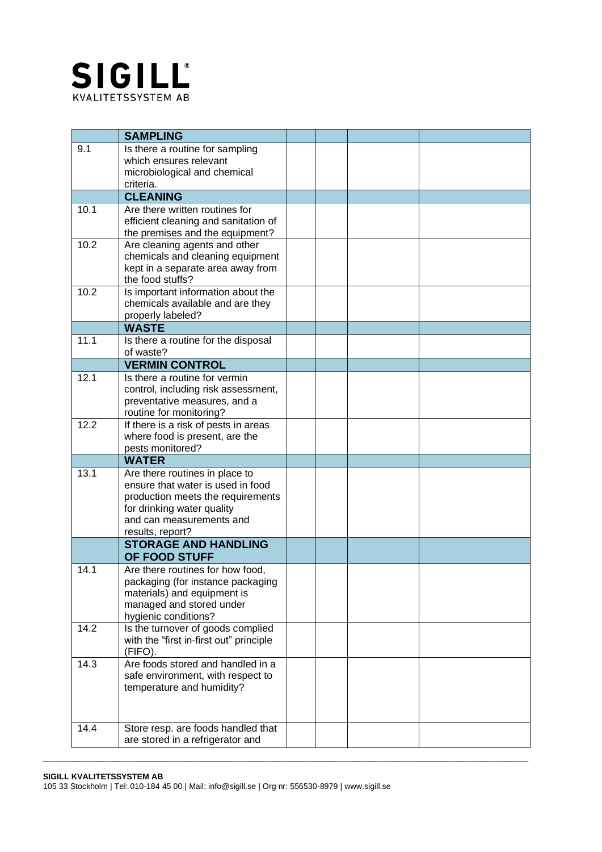

|      | <b>SAMPLING</b>                                                     |  |  |
|------|---------------------------------------------------------------------|--|--|
| 9.1  | Is there a routine for sampling                                     |  |  |
|      | which ensures relevant                                              |  |  |
|      | microbiological and chemical<br>criteria.                           |  |  |
|      | <b>CLEANING</b>                                                     |  |  |
| 10.1 | Are there written routines for                                      |  |  |
|      | efficient cleaning and sanitation of                                |  |  |
|      | the premises and the equipment?                                     |  |  |
| 10.2 | Are cleaning agents and other<br>chemicals and cleaning equipment   |  |  |
|      | kept in a separate area away from                                   |  |  |
|      | the food stuffs?                                                    |  |  |
| 10.2 | Is important information about the                                  |  |  |
|      | chemicals available and are they                                    |  |  |
|      | properly labeled?<br><b>WASTE</b>                                   |  |  |
| 11.1 | Is there a routine for the disposal                                 |  |  |
|      | of waste?                                                           |  |  |
|      | <b>VERMIN CONTROL</b>                                               |  |  |
| 12.1 | Is there a routine for vermin                                       |  |  |
|      | control, including risk assessment,                                 |  |  |
|      | preventative measures, and a<br>routine for monitoring?             |  |  |
| 12.2 | If there is a risk of pests in areas                                |  |  |
|      | where food is present, are the                                      |  |  |
|      | pests monitored?                                                    |  |  |
| 13.1 | <b>WATER</b>                                                        |  |  |
|      | Are there routines in place to<br>ensure that water is used in food |  |  |
|      | production meets the requirements                                   |  |  |
|      | for drinking water quality                                          |  |  |
|      | and can measurements and                                            |  |  |
|      | results, report?<br><b>STORAGE AND HANDLING</b>                     |  |  |
|      | OF FOOD STUFF                                                       |  |  |
| 14.1 | Are there routines for how food,                                    |  |  |
|      | packaging (for instance packaging                                   |  |  |
|      | materials) and equipment is                                         |  |  |
|      | managed and stored under                                            |  |  |
| 14.2 | hygienic conditions?<br>Is the turnover of goods complied           |  |  |
|      | with the "first in-first out" principle                             |  |  |
|      | (FIFO).                                                             |  |  |
| 14.3 | Are foods stored and handled in a                                   |  |  |
|      | safe environment, with respect to                                   |  |  |
|      | temperature and humidity?                                           |  |  |
|      |                                                                     |  |  |
| 14.4 | Store resp. are foods handled that                                  |  |  |
|      | are stored in a refrigerator and                                    |  |  |

105 33 Stockholm | Tel: 010-184 45 00 | Mail: [info@sigill.se](mailto:info@sigill.se) | Org nr: 556530-8979 [| www.sigill.se](http://www.sigill.se/)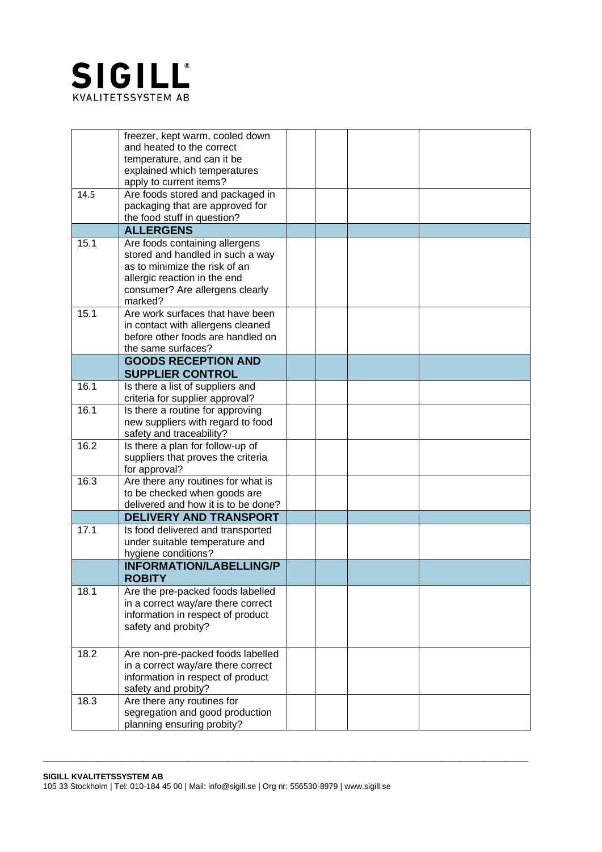

|      | freezer, kept warm, cooled down<br>and heated to the correct<br>temperature, and can it be<br>explained which temperatures                                                        |  |  |
|------|-----------------------------------------------------------------------------------------------------------------------------------------------------------------------------------|--|--|
| 14.5 | apply to current items?<br>Are foods stored and packaged in<br>packaging that are approved for<br>the food stuff in question?                                                     |  |  |
|      | <b>ALLERGENS</b>                                                                                                                                                                  |  |  |
| 15.1 | Are foods containing allergens<br>stored and handled in such a way<br>as to minimize the risk of an<br>allergic reaction in the end<br>consumer? Are allergens clearly<br>marked? |  |  |
| 15.1 | Are work surfaces that have been<br>in contact with allergens cleaned<br>before other foods are handled on<br>the same surfaces?                                                  |  |  |
|      | <b>GOODS RECEPTION AND</b><br><b>SUPPLIER CONTROL</b>                                                                                                                             |  |  |
| 16.1 | Is there a list of suppliers and<br>criteria for supplier approval?                                                                                                               |  |  |
| 16.1 | Is there a routine for approving<br>new suppliers with regard to food<br>safety and traceability?                                                                                 |  |  |
| 16.2 | Is there a plan for follow-up of<br>suppliers that proves the criteria<br>for approval?                                                                                           |  |  |
| 16.3 | Are there any routines for what is<br>to be checked when goods are<br>delivered and how it is to be done?                                                                         |  |  |
|      | <b>DELIVERY AND TRANSPORT</b>                                                                                                                                                     |  |  |
| 17.1 | Is food delivered and transported<br>under suitable temperature and<br>hygiene conditions?                                                                                        |  |  |
|      | <b>INFORMATION/LABELLING/P</b><br><b>ROBITY</b>                                                                                                                                   |  |  |
| 18.1 | Are the pre-packed foods labelled<br>in a correct way/are there correct<br>information in respect of product<br>safety and probity?                                               |  |  |
| 18.2 | Are non-pre-packed foods labelled<br>in a correct way/are there correct<br>information in respect of product<br>safety and probity?                                               |  |  |
| 18.3 | Are there any routines for<br>segregation and good production<br>planning ensuring probity?                                                                                       |  |  |